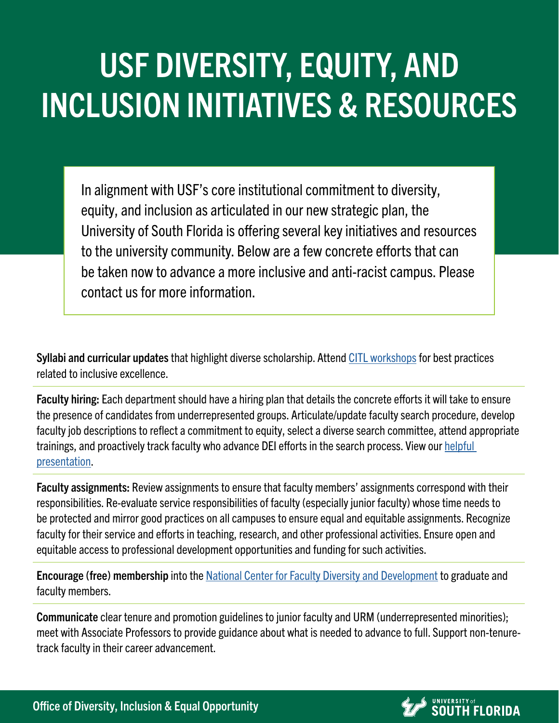## USF DIVERSITY, EQUITY, AND INCLUSION INITIATIVES & RESOURCES

In alignment with USF's core institutional commitment to diversity, equity, and inclusion as articulated in our new strategic plan, the University of South Florida is offering several key initiatives and resources to the university community. Below are a few concrete efforts that can be taken now to advance a more inclusive and anti-racist campus. Please contact us for more information.

Syllabi and curricular updates that highlight diverse scholarship. Attend [CITL workshops](https://www.usf.edu/innovative-education/citl/) for best practices related to inclusive excellence.

Faculty hiring: Each department should have a hiring plan that details the concrete efforts it will take to ensure the presence of candidates from underrepresented groups. Articulate/update faculty search procedure, develop faculty job descriptions to reflect a commitment to equity, select a diverse search committee, attend appropriate trainings, and proactively track faculty who advance DEI efforts in the search process. View our [helpful](https://usf.app.box.com/s/1snc8cg94k61uhl6wvvj4e03r0cqwqpd)  [presentation.](https://usf.app.box.com/s/1snc8cg94k61uhl6wvvj4e03r0cqwqpd)

Faculty assignments: Review assignments to ensure that faculty members' assignments correspond with their responsibilities. Re-evaluate service responsibilities of faculty (especially junior faculty) whose time needs to be protected and mirror good practices on all campuses to ensure equal and equitable assignments. Recognize faculty for their service and efforts in teaching, research, and other professional activities. Ensure open and equitable access to professional development opportunities and funding for such activities.

Encourage (free) membership into the [National Center for Faculty Diversity and Development](https://www.usf.edu/provost/faculty-success/resources-policies-forms/resources.aspx) to graduate and faculty members.

Communicate clear tenure and promotion guidelines to junior faculty and URM (underrepresented minorities); meet with Associate Professors to provide guidance about what is needed to advance to full. Support non-tenuretrack faculty in their career advancement.